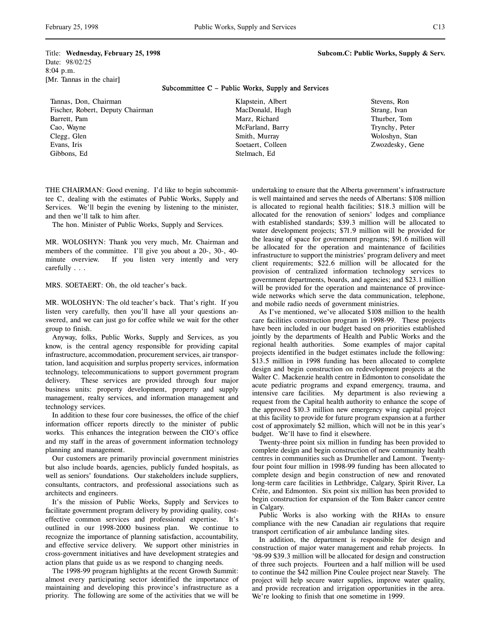Title: **Wednesday, February 25, 1998 Subcom.C: Public Works, Supply & Serv.** Date: 98/02/25 8:04 p.m. [Mr. Tannas in the chair]

## Subcommittee C – Public Works, Supply and Services

Tannas, Don, Chairman Fischer, Robert, Deputy Chairman Barrett, Pam Cao, Wayne Clegg, Glen Evans, Iris Gibbons, Ed

Klapstein, Albert MacDonald, Hugh Marz, Richard McFarland, Barry Smith, Murray Soetaert, Colleen Stelmach, Ed

Stevens, Ron Strang, Ivan Thurber, Tom Trynchy, Peter Woloshyn, Stan Zwozdesky, Gene

THE CHAIRMAN: Good evening. I'd like to begin subcommittee C, dealing with the estimates of Public Works, Supply and Services. We'll begin the evening by listening to the minister, and then we'll talk to him after.

The hon. Minister of Public Works, Supply and Services.

MR. WOLOSHYN: Thank you very much, Mr. Chairman and members of the committee. I'll give you about a 20-, 30-, 40 minute overview. If you listen very intently and very carefully . . .

MRS. SOETAERT: Oh, the old teacher's back.

MR. WOLOSHYN: The old teacher's back. That's right. If you listen very carefully, then you'll have all your questions answered, and we can just go for coffee while we wait for the other group to finish.

Anyway, folks, Public Works, Supply and Services, as you know, is the central agency responsible for providing capital infrastructure, accommodation, procurement services, air transportation, land acquisition and surplus property services, information technology, telecommunications to support government program delivery. These services are provided through four major business units: property development, property and supply management, realty services, and information management and technology services.

In addition to these four core businesses, the office of the chief information officer reports directly to the minister of public works. This enhances the integration between the CIO's office and my staff in the areas of government information technology planning and management.

Our customers are primarily provincial government ministries but also include boards, agencies, publicly funded hospitals, as well as seniors' foundations. Our stakeholders include suppliers, consultants, contractors, and professional associations such as architects and engineers.

It's the mission of Public Works, Supply and Services to facilitate government program delivery by providing quality, costeffective common services and professional expertise. It's outlined in our 1998-2000 business plan. We continue to recognize the importance of planning satisfaction, accountability, and effective service delivery. We support other ministries in cross-government initiatives and have development strategies and action plans that guide us as we respond to changing needs.

The 1998-99 program highlights at the recent Growth Summit: almost every participating sector identified the importance of maintaining and developing this province's infrastructure as a priority. The following are some of the activities that we will be

undertaking to ensure that the Alberta government's infrastructure is well maintained and serves the needs of Albertans: \$108 million is allocated to regional health facilities; \$18.3 million will be allocated for the renovation of seniors' lodges and compliance with established standards; \$39.3 million will be allocated to water development projects; \$71.9 million will be provided for the leasing of space for government programs; \$91.6 million will be allocated for the operation and maintenance of facilities infrastructure to support the ministries' program delivery and meet client requirements; \$22.6 million will be allocated for the provision of centralized information technology services to government departments, boards, and agencies; and \$23.1 million will be provided for the operation and maintenance of provincewide networks which serve the data communication, telephone, and mobile radio needs of government ministries.

As I've mentioned, we've allocated \$108 million to the health care facilities construction program in 1998-99. These projects have been included in our budget based on priorities established jointly by the departments of Health and Public Works and the regional health authorities. Some examples of major capital projects identified in the budget estimates include the following: \$13.5 million in 1998 funding has been allocated to complete design and begin construction on redevelopment projects at the Walter C. Mackenzie health centre in Edmonton to consolidate the acute pediatric programs and expand emergency, trauma, and intensive care facilities. My department is also reviewing a request from the Capital health authority to enhance the scope of the approved \$10.3 million new emergency wing capital project at this facility to provide for future program expansion at a further cost of approximately \$2 million, which will not be in this year's budget. We'll have to find it elsewhere.

Twenty-three point six million in funding has been provided to complete design and begin construction of new community health centres in communities such as Drumheller and Lamont. Twentyfour point four million in 1998-99 funding has been allocated to complete design and begin construction of new and renovated long-term care facilities in Lethbridge, Calgary, Spirit River, La Crête, and Edmonton. Six point six million has been provided to begin construction for expansion of the Tom Baker cancer centre in Calgary.

Public Works is also working with the RHAs to ensure compliance with the new Canadian air regulations that require transport certification of air ambulance landing sites.

In addition, the department is responsible for design and construction of major water management and rehab projects. In '98-99 \$39.3 million will be allocated for design and construction of three such projects. Fourteen and a half million will be used to continue the \$42 million Pine Coulee project near Stavely. The project will help secure water supplies, improve water quality, and provide recreation and irrigation opportunities in the area. We're looking to finish that one sometime in 1999.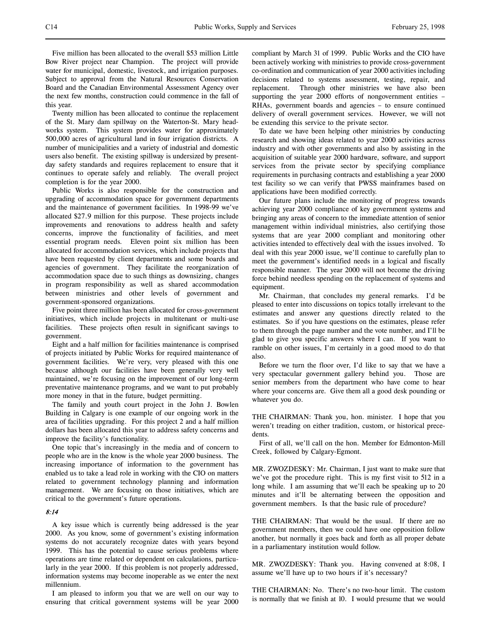Five million has been allocated to the overall \$53 million Little Bow River project near Champion. The project will provide water for municipal, domestic, livestock, and irrigation purposes. Subject to approval from the Natural Resources Conservation Board and the Canadian Environmental Assessment Agency over the next few months, construction could commence in the fall of this year.

Twenty million has been allocated to continue the replacement of the St. Mary dam spillway on the Waterton-St. Mary headworks system. This system provides water for approximately 500,000 acres of agricultural land in four irrigation districts. A number of municipalities and a variety of industrial and domestic users also benefit. The existing spillway is undersized by presentday safety standards and requires replacement to ensure that it continues to operate safely and reliably. The overall project completion is for the year 2000.

Public Works is also responsible for the construction and upgrading of accommodation space for government departments and the maintenance of government facilities. In 1998-99 we've allocated \$27.9 million for this purpose. These projects include improvements and renovations to address health and safety concerns, improve the functionality of facilities, and meet essential program needs. Eleven point six million has been allocated for accommodation services, which include projects that have been requested by client departments and some boards and agencies of government. They facilitate the reorganization of accommodation space due to such things as downsizing, changes in program responsibility as well as shared accommodation between ministries and other levels of government and government-sponsored organizations.

Five point three million has been allocated for cross-government initiatives, which include projects in multitenant or multi-use facilities. These projects often result in significant savings to government.

Eight and a half million for facilities maintenance is comprised of projects initiated by Public Works for required maintenance of government facilities. We're very, very pleased with this one because although our facilities have been generally very well maintained, we're focusing on the improvement of our long-term preventative maintenance programs, and we want to put probably more money in that in the future, budget permitting.

The family and youth court project in the John J. Bowlen Building in Calgary is one example of our ongoing work in the area of facilities upgrading. For this project 2 and a half million dollars has been allocated this year to address safety concerns and improve the facility's functionality.

One topic that's increasingly in the media and of concern to people who are in the know is the whole year 2000 business. The increasing importance of information to the government has enabled us to take a lead role in working with the CIO on matters related to government technology planning and information management. We are focusing on those initiatives, which are critical to the government's future operations.

### 8:14

A key issue which is currently being addressed is the year 2000. As you know, some of government's existing information systems do not accurately recognize dates with years beyond 1999. This has the potential to cause serious problems where operations are time related or dependent on calculations, particularly in the year 2000. If this problem is not properly addressed, information systems may become inoperable as we enter the next millennium.

I am pleased to inform you that we are well on our way to ensuring that critical government systems will be year 2000 compliant by March 31 of 1999. Public Works and the CIO have been actively working with ministries to provide cross-government co-ordination and communication of year 2000 activities including decisions related to systems assessment, testing, repair, and replacement. Through other ministries we have also been supporting the year 2000 efforts of nongovernment entities – RHAs, government boards and agencies – to ensure continued delivery of overall government services. However, we will not be extending this service to the private sector.

To date we have been helping other ministries by conducting research and showing ideas related to year 2000 activities across industry and with other governments and also by assisting in the acquisition of suitable year 2000 hardware, software, and support services from the private sector by specifying compliance requirements in purchasing contracts and establishing a year 2000 test facility so we can verify that PWSS mainframes based on applications have been modified correctly.

Our future plans include the monitoring of progress towards achieving year 2000 compliance of key government systems and bringing any areas of concern to the immediate attention of senior management within individual ministries, also certifying those systems that are year 2000 compliant and monitoring other activities intended to effectively deal with the issues involved. To deal with this year 2000 issue, we'll continue to carefully plan to meet the government's identified needs in a logical and fiscally responsible manner. The year 2000 will not become the driving force behind needless spending on the replacement of systems and equipment.

Mr. Chairman, that concludes my general remarks. I'd be pleased to enter into discussions on topics totally irrelevant to the estimates and answer any questions directly related to the estimates. So if you have questions on the estimates, please refer to them through the page number and the vote number, and I'll be glad to give you specific answers where I can. If you want to ramble on other issues, I'm certainly in a good mood to do that also.

Before we turn the floor over, I'd like to say that we have a very spectacular government gallery behind you. Those are senior members from the department who have come to hear where your concerns are. Give them all a good desk pounding or whatever you do.

THE CHAIRMAN: Thank you, hon. minister. I hope that you weren't treading on either tradition, custom, or historical precedents.

First of all, we'll call on the hon. Member for Edmonton-Mill Creek, followed by Calgary-Egmont.

MR. ZWOZDESKY: Mr. Chairman, I just want to make sure that we've got the procedure right. This is my first visit to 512 in a long while. I am assuming that we'll each be speaking up to 20 minutes and it'll be alternating between the opposition and government members. Is that the basic rule of procedure?

THE CHAIRMAN: That would be the usual. If there are no government members, then we could have one opposition follow another, but normally it goes back and forth as all proper debate in a parliamentary institution would follow.

MR. ZWOZDESKY: Thank you. Having convened at 8:08, I assume we'll have up to two hours if it's necessary?

THE CHAIRMAN: No. There's no two-hour limit. The custom is normally that we finish at 10. I would presume that we would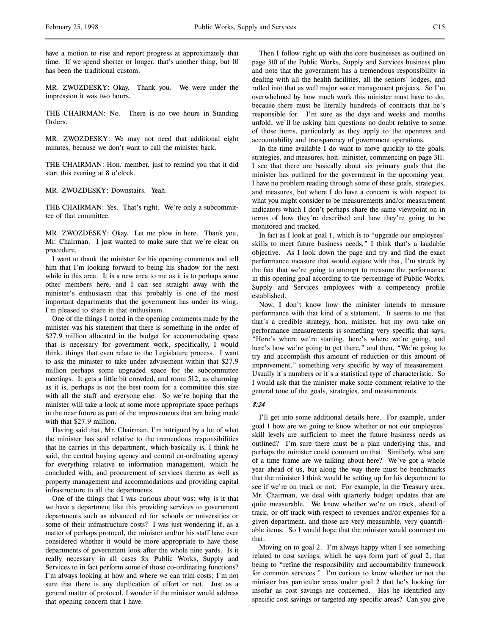have a motion to rise and report progress at approximately that time. If we spend shorter or longer, that's another thing, but 10 has been the traditional custom.

MR. ZWOZDESKY: Okay. Thank you. We were under the impression it was two hours.

THE CHAIRMAN: No. There is no two hours in Standing Orders.

MR. ZWOZDESKY: We may not need that additional eight minutes, because we don't want to call the minister back.

THE CHAIRMAN: Hon. member, just to remind you that it did start this evening at 8 o'clock.

MR. ZWOZDESKY: Downstairs. Yeah.

THE CHAIRMAN: Yes. That's right. We're only a subcommittee of that committee.

MR. ZWOZDESKY: Okay. Let me plow in here. Thank you, Mr. Chairman. I just wanted to make sure that we're clear on procedure.

I want to thank the minister for his opening comments and tell him that I'm looking forward to being his shadow for the next while in this area. It is a new area to me as it is to perhaps some other members here, and I can see straight away with the minister's enthusiasm that this probably is one of the most important departments that the government has under its wing. I'm pleased to share in that enthusiasm.

One of the things I noted in the opening comments made by the minister was his statement that there is something in the order of \$27.9 million allocated in the budget for accommodating space that is necessary for government work, specifically, I would think, things that even relate to the Legislature process. I want to ask the minister to take under advisement within that \$27.9 million perhaps some upgraded space for the subcommittee meetings. It gets a little bit crowded, and room 512, as charming as it is, perhaps is not the best room for a committee this size with all the staff and everyone else. So we're hoping that the minister will take a look at some more appropriate space perhaps in the near future as part of the improvements that are being made with that \$27.9 million.

Having said that, Mr. Chairman, I'm intrigued by a lot of what the minister has said relative to the tremendous responsibilities that he carries in this department, which basically is, I think he said, the central buying agency and central co-ordinating agency for everything relative to information management, which he concluded with, and procurement of services thereto as well as property management and accommodations and providing capital infrastructure to all the departments.

One of the things that I was curious about was: why is it that we have a department like this providing services to government departments such as advanced ed for schools or universities or some of their infrastructure costs? I was just wondering if, as a matter of perhaps protocol, the minister and/or his staff have ever considered whether it would be more appropriate to have those departments of government look after the whole nine yards. Is it really necessary in all cases for Public Works, Supply and Services to in fact perform some of those co-ordinating functions? I'm always looking at how and where we can trim costs; I'm not sure that there is any duplication of effort or not. Just as a general matter of protocol, I wonder if the minister would address that opening concern that I have.

Then I follow right up with the core businesses as outlined on page 310 of the Public Works, Supply and Services business plan and note that the government has a tremendous responsibility in dealing with all the health facilities, all the seniors' lodges, and rolled into that as well major water management projects. So I'm overwhelmed by how much work this minister must have to do, because there must be literally hundreds of contracts that he's responsible for. I'm sure as the days and weeks and months unfold, we'll be asking him questions no doubt relative to some of those items, particularly as they apply to the openness and accountability and transparency of government operations.

In the time available I do want to move quickly to the goals, strategies, and measures, hon. minister, commencing on page 311. I see that there are basically about six primary goals that the minister has outlined for the government in the upcoming year. I have no problem reading through some of these goals, strategies, and measures, but where I do have a concern is with respect to what you might consider to be measurements and/or measurement indicators which I don't perhaps share the same viewpoint on in terms of how they're described and how they're going to be monitored and tracked.

In fact as I look at goal 1, which is to "upgrade our employees' skills to meet future business needs," I think that's a laudable objective. As I look down the page and try and find the exact performance measure that would equate with that, I'm struck by the fact that we're going to attempt to measure the performance in this opening goal according to the percentage of Public Works, Supply and Services employees with a competency profile established.

Now, I don't know how the minister intends to measure performance with that kind of a statement. It seems to me that that's a credible strategy, hon. minister, but my own take on performance measurements is something very specific that says, "Here's where we're starting, here's where we're going, and here's how we're going to get there," and then, "We're going to try and accomplish this amount of reduction or this amount of improvement," something very specific by way of measurement. Usually it's numbers or it's a statistical type of characteristic. So I would ask that the minister make some comment relative to the general tone of the goals, strategies, and measurements.

# 8:24

I'll get into some additional details here. For example, under goal 1 how are we going to know whether or not our employees' skill levels are sufficient to meet the future business needs as outlined? I'm sure there must be a plan underlying this, and perhaps the minister could comment on that. Similarly, what sort of a time frame are we talking about here? We've got a whole year ahead of us, but along the way there must be benchmarks that the minister I think would be setting up for his department to see if we're on track or not. For example, in the Treasury area, Mr. Chairman, we deal with quarterly budget updates that are quite measurable. We know whether we're on track, ahead of track, or off track with respect to revenues and/or expenses for a given department, and those are very measurable, very quantifiable items. So I would hope that the minister would comment on that.

Moving on to goal 2. I'm always happy when I see something related to cost savings, which he says form part of goal 2, that being to "refine the responsibility and accountability framework for common services." I'm curious to know whether or not the minister has particular areas under goal 2 that he's looking for insofar as cost savings are concerned. Has he identified any specific cost savings or targeted any specific areas? Can you give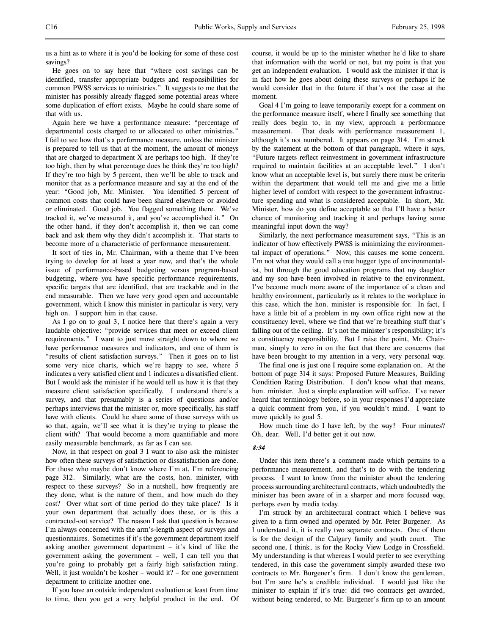us a hint as to where it is you'd be looking for some of these cost savings?

He goes on to say here that "where cost savings can be identified, transfer appropriate budgets and responsibilities for common PWSS services to ministries." It suggests to me that the minister has possibly already flagged some potential areas where some duplication of effort exists. Maybe he could share some of that with us.

Again here we have a performance measure: "percentage of departmental costs charged to or allocated to other ministries." I fail to see how that's a performance measure, unless the minister is prepared to tell us that at the moment, the amount of moneys that are charged to department  $X$  are perhaps too high. If they're too high, then by what percentage does he think they're too high? If they're too high by 5 percent, then we'll be able to track and monitor that as a performance measure and say at the end of the year: "Good job, Mr. Minister. You identified 5 percent of common costs that could have been shared elsewhere or avoided or eliminated. Good job. You flagged something there. We've tracked it, we've measured it, and you've accomplished it." On the other hand, if they don't accomplish it, then we can come back and ask them why they didn't accomplish it. That starts to become more of a characteristic of performance measurement.

It sort of ties in, Mr. Chairman, with a theme that I've been trying to develop for at least a year now, and that's the whole issue of performance-based budgeting versus program-based budgeting, where you have specific performance requirements, specific targets that are identified, that are trackable and in the end measurable. Then we have very good open and accountable government, which I know this minister in particular is very, very high on. I support him in that cause.

As I go on to goal 3, I notice here that there's again a very laudable objective: "provide services that meet or exceed client requirements." I want to just move straight down to where we have performance measures and indicators, and one of them is "results of client satisfaction surveys." Then it goes on to list some very nice charts, which we're happy to see, where 5 indicates a very satisfied client and 1 indicates a dissatisfied client. But I would ask the minister if he would tell us how it is that they measure client satisfaction specifically. I understand there's a survey, and that presumably is a series of questions and/or perhaps interviews that the minister or, more specifically, his staff have with clients. Could he share some of those surveys with us so that, again, we'll see what it is they're trying to please the client with? That would become a more quantifiable and more easily measurable benchmark, as far as I can see.

Now, in that respect on goal 3 I want to also ask the minister how often these surveys of satisfaction or dissatisfaction are done. For those who maybe don't know where I'm at, I'm referencing page 312. Similarly, what are the costs, hon. minister, with respect to these surveys? So in a nutshell, how frequently are they done, what is the nature of them, and how much do they cost? Over what sort of time period do they take place? Is it your own department that actually does these, or is this a contracted-out service? The reason I ask that question is because I'm always concerned with the arm's-length aspect of surveys and questionnaires. Sometimes if it's the government department itself asking another government department – it's kind of like the government asking the government – well, I can tell you that you're going to probably get a fairly high satisfaction rating. Well, it just wouldn't be kosher – would it? – for one government department to criticize another one.

If you have an outside independent evaluation at least from time to time, then you get a very helpful product in the end. Of course, it would be up to the minister whether he'd like to share that information with the world or not, but my point is that you get an independent evaluation. I would ask the minister if that is in fact how he goes about doing these surveys or perhaps if he would consider that in the future if that's not the case at the moment.

Goal 4 I'm going to leave temporarily except for a comment on the performance measure itself, where I finally see something that really does begin to, in my view, approach a performance measurement. That deals with performance measurement 1, although it's not numbered. It appears on page 314. I'm struck by the statement at the bottom of that paragraph, where it says, "Future targets reflect reinvestment in government infrastructure required to maintain facilities at an acceptable level." I don't know what an acceptable level is, but surely there must be criteria within the department that would tell me and give me a little higher level of comfort with respect to the government infrastructure spending and what is considered acceptable. In short, Mr. Minister, how do you define acceptable so that I'll have a better chance of monitoring and tracking it and perhaps having some meaningful input down the way?

Similarly, the next performance measurement says, "This is an indicator of how effectively PWSS is minimizing the environmental impact of operations." Now, this causes me some concern. I'm not what they would call a tree hugger type of environmentalist, but through the good education programs that my daughter and my son have been involved in relative to the environment, I've become much more aware of the importance of a clean and healthy environment, particularly as it relates to the workplace in this case, which the hon. minister is responsible for. In fact, I have a little bit of a problem in my own office right now at the constituency level, where we find that we're breathing stuff that's falling out of the ceiling. It's not the minister's responsibility; it's a constituency responsibility. But I raise the point, Mr. Chairman, simply to zero in on the fact that there are concerns that have been brought to my attention in a very, very personal way.

The final one is just one I require some explanation on. At the bottom of page 314 it says: Proposed Future Measures, Building Condition Rating Distribution. I don't know what that means, hon. minister. Just a simple explanation will suffice. I've never heard that terminology before, so in your responses I'd appreciate a quick comment from you, if you wouldn't mind. I want to move quickly to goal 5.

How much time do I have left, by the way? Four minutes? Oh, dear. Well, I'd better get it out now.

### 8:34

Under this item there's a comment made which pertains to a performance measurement, and that's to do with the tendering process. I want to know from the minister about the tendering process surrounding architectural contracts, which undoubtedly the minister has been aware of in a sharper and more focused way, perhaps even by media today.

I'm struck by an architectural contract which I believe was given to a firm owned and operated by Mr. Peter Burgener. As I understand it, it is really two separate contracts. One of them is for the design of the Calgary family and youth court. The second one, I think, is for the Rocky View Lodge in Crossfield. My understanding is that whereas I would prefer to see everything tendered, in this case the government simply awarded these two contracts to Mr. Burgener's firm. I don't know the gentleman, but I'm sure he's a credible individual. I would just like the minister to explain if it's true: did two contracts get awarded, without being tendered, to Mr. Burgener's firm up to an amount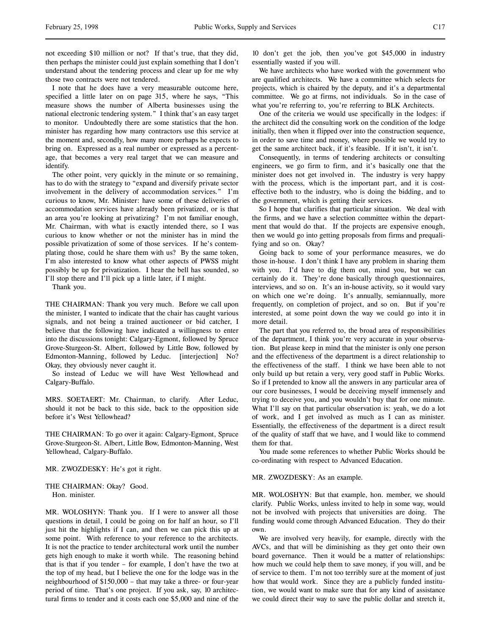not exceeding \$10 million or not? If that's true, that they did, then perhaps the minister could just explain something that I don't understand about the tendering process and clear up for me why those two contracts were not tendered.

I note that he does have a very measurable outcome here, specified a little later on on page 315, where he says, "This measure shows the number of Alberta businesses using the national electronic tendering system." I think that's an easy target to monitor. Undoubtedly there are some statistics that the hon. minister has regarding how many contractors use this service at the moment and, secondly, how many more perhaps he expects to bring on. Expressed as a real number or expressed as a percentage, that becomes a very real target that we can measure and identify.

The other point, very quickly in the minute or so remaining, has to do with the strategy to "expand and diversify private sector involvement in the delivery of accommodation services." I'm curious to know, Mr. Minister: have some of these deliveries of accommodation services have already been privatized, or is that an area you're looking at privatizing? I'm not familiar enough, Mr. Chairman, with what is exactly intended there, so I was curious to know whether or not the minister has in mind the possible privatization of some of those services. If he's contemplating those, could he share them with us? By the same token, I'm also interested to know what other aspects of PWSS might possibly be up for privatization. I hear the bell has sounded, so I'll stop there and I'll pick up a little later, if I might.

Thank you.

THE CHAIRMAN: Thank you very much. Before we call upon the minister, I wanted to indicate that the chair has caught various signals, and not being a trained auctioneer or bid catcher, I believe that the following have indicated a willingness to enter into the discussions tonight: Calgary-Egmont, followed by Spruce Grove-Sturgeon-St. Albert, followed by Little Bow, followed by Edmonton-Manning, followed by Leduc. [interjection] No? Okay, they obviously never caught it.

So instead of Leduc we will have West Yellowhead and Calgary-Buffalo.

MRS. SOETAERT: Mr. Chairman, to clarify. After Leduc, should it not be back to this side, back to the opposition side before it's West Yellowhead?

THE CHAIRMAN: To go over it again: Calgary-Egmont, Spruce Grove-Sturgeon-St. Albert, Little Bow, Edmonton-Manning, West Yellowhead, Calgary-Buffalo.

MR. ZWOZDESKY: He's got it right.

THE CHAIRMAN: Okay? Good. Hon. minister.

MR. WOLOSHYN: Thank you. If I were to answer all those questions in detail, I could be going on for half an hour, so I'll just hit the highlights if I can, and then we can pick this up at some point. With reference to your reference to the architects. It is not the practice to tender architectural work until the number gets high enough to make it worth while. The reasoning behind that is that if you tender – for example, I don't have the two at the top of my head, but I believe the one for the lodge was in the neighbourhood of \$150,000 – that may take a three- or four-year period of time. That's one project. If you ask, say, 10 architectural firms to tender and it costs each one \$5,000 and nine of the

10 don't get the job, then you've got \$45,000 in industry essentially wasted if you will.

We have architects who have worked with the government who are qualified architects. We have a committee which selects for projects, which is chaired by the deputy, and it's a departmental committee. We go at firms, not individuals. So in the case of what you're referring to, you're referring to BLK Architects.

One of the criteria we would use specifically in the lodges: if the architect did the consulting work on the condition of the lodge initially, then when it flipped over into the construction sequence, in order to save time and money, where possible we would try to get the same architect back, if it's feasible. If it isn't, it isn't.

Consequently, in terms of tendering architects or consulting engineers, we go firm to firm, and it's basically one that the minister does not get involved in. The industry is very happy with the process, which is the important part, and it is costeffective both to the industry, who is doing the bidding, and to the government, which is getting their services.

So I hope that clarifies that particular situation. We deal with the firms, and we have a selection committee within the department that would do that. If the projects are expensive enough, then we would go into getting proposals from firms and prequalifying and so on. Okay?

Going back to some of your performance measures, we do those in-house. I don't think I have any problem in sharing them with you. I'd have to dig them out, mind you, but we can certainly do it. They're done basically through questionnaires, interviews, and so on. It's an in-house activity, so it would vary on which one we're doing. It's annually, semiannually, more frequently, on completion of project, and so on. But if you're interested, at some point down the way we could go into it in more detail.

The part that you referred to, the broad area of responsibilities of the department, I think you're very accurate in your observation. But please keep in mind that the minister is only one person and the effectiveness of the department is a direct relationship to the effectiveness of the staff. I think we have been able to not only build up but retain a very, very good staff in Public Works. So if I pretended to know all the answers in any particular area of our core businesses, I would be deceiving myself immensely and trying to deceive you, and you wouldn't buy that for one minute. What I'll say on that particular observation is: yeah, we do a lot of work, and I get involved as much as I can as minister. Essentially, the effectiveness of the department is a direct result of the quality of staff that we have, and I would like to commend them for that.

You made some references to whether Public Works should be co-ordinating with respect to Advanced Education.

#### MR. ZWOZDESKY: As an example.

MR. WOLOSHYN: But that example, hon. member, we should clarify. Public Works, unless invited to help in some way, would not be involved with projects that universities are doing. The funding would come through Advanced Education. They do their own.

We are involved very heavily, for example, directly with the AVCs, and that will be diminishing as they get onto their own board governance. Then it would be a matter of relationships: how much we could help them to save money, if you will, and be of service to them. I'm not too terribly sure at the moment of just how that would work. Since they are a publicly funded institution, we would want to make sure that for any kind of assistance we could direct their way to save the public dollar and stretch it,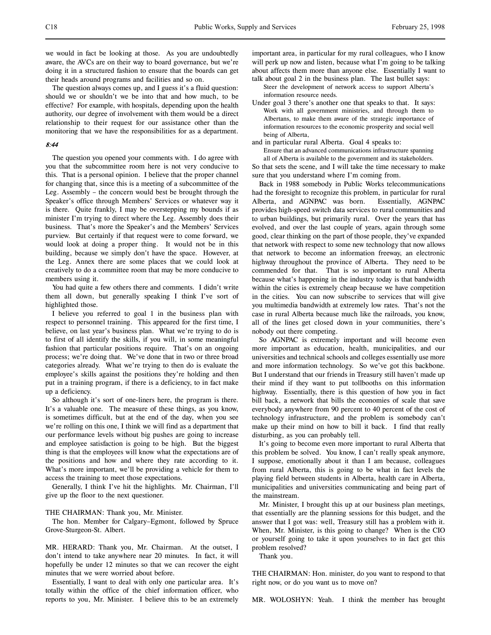we would in fact be looking at those. As you are undoubtedly aware, the AVCs are on their way to board governance, but we're doing it in a structured fashion to ensure that the boards can get their heads around programs and facilities and so on.

The question always comes up, and I guess it's a fluid question: should we or shouldn't we be into that and how much, to be effective? For example, with hospitals, depending upon the health authority, our degree of involvement with them would be a direct relationship to their request for our assistance other than the monitoring that we have the responsibilities for as a department.

# 8:44

The question you opened your comments with. I do agree with you that the subcommittee room here is not very conducive to this. That is a personal opinion. I believe that the proper channel for changing that, since this is a meeting of a subcommittee of the Leg. Assembly – the concern would best be brought through the Speaker's office through Members' Services or whatever way it is there. Quite frankly, I may be overstepping my bounds if as minister I'm trying to direct where the Leg. Assembly does their business. That's more the Speaker's and the Members' Services purview. But certainly if that request were to come forward, we would look at doing a proper thing. It would not be in this building, because we simply don't have the space. However, at the Leg. Annex there are some places that we could look at creatively to do a committee room that may be more conducive to members using it.

You had quite a few others there and comments. I didn't write them all down, but generally speaking I think I've sort of highlighted those.

I believe you referred to goal 1 in the business plan with respect to personnel training. This appeared for the first time, I believe, on last year's business plan. What we're trying to do is to first of all identify the skills, if you will, in some meaningful fashion that particular positions require. That's on an ongoing process; we're doing that. We've done that in two or three broad categories already. What we're trying to then do is evaluate the employee's skills against the positions they're holding and then put in a training program, if there is a deficiency, to in fact make up a deficiency.

So although it's sort of one-liners here, the program is there. It's a valuable one. The measure of these things, as you know, is sometimes difficult, but at the end of the day, when you see we're rolling on this one, I think we will find as a department that our performance levels without big pushes are going to increase and employee satisfaction is going to be high. But the biggest thing is that the employees will know what the expectations are of the positions and how and where they rate according to it. What's more important, we'll be providing a vehicle for them to access the training to meet those expectations.

Generally, I think I've hit the highlights. Mr. Chairman, I'll give up the floor to the next questioner.

## THE CHAIRMAN: Thank you, Mr. Minister.

The hon. Member for Calgary–Egmont, followed by Spruce Grove-Sturgeon-St. Albert.

MR. HERARD: Thank you, Mr. Chairman. At the outset, I don't intend to take anywhere near 20 minutes. In fact, it will hopefully be under 12 minutes so that we can recover the eight minutes that we were worried about before.

Essentially, I want to deal with only one particular area. It's totally within the office of the chief information officer, who reports to you, Mr. Minister. I believe this to be an extremely

important area, in particular for my rural colleagues, who I know will perk up now and listen, because what I'm going to be talking about affects them more than anyone else. Essentially I want to talk about goal 2 in the business plan. The last bullet says:

- Steer the development of network access to support Alberta's information resource needs.
- Under goal 3 there's another one that speaks to that. It says: Work with all government ministries, and through them to Albertans, to make them aware of the strategic importance of information resources to the economic prosperity and social well being of Alberta,

and in particular rural Alberta. Goal 4 speaks to: Ensure that an advanced communications infrastructure spanning all of Alberta is available to the government and its stakeholders.

So that sets the scene, and I will take the time necessary to make sure that you understand where I'm coming from.

Back in 1988 somebody in Public Works telecommunications had the foresight to recognize this problem, in particular for rural Alberta, and AGNPAC was born. Essentially, AGNPAC provides high-speed switch data services to rural communities and to urban buildings, but primarily rural. Over the years that has evolved, and over the last couple of years, again through some good, clear thinking on the part of those people, they've expanded that network with respect to some new technology that now allows that network to become an information freeway, an electronic highway throughout the province of Alberta. They need to be commended for that. That is so important to rural Alberta because what's happening in the industry today is that bandwidth within the cities is extremely cheap because we have competition in the cities. You can now subscribe to services that will give you multimedia bandwidth at extremely low rates. That's not the case in rural Alberta because much like the railroads, you know, all of the lines get closed down in your communities, there's nobody out there competing.

So AGNPAC is extremely important and will become even more important as education, health, municipalities, and our universities and technical schools and colleges essentially use more and more information technology. So we've got this backbone. But I understand that our friends in Treasury still haven't made up their mind if they want to put tollbooths on this information highway. Essentially, there is this question of how you in fact bill back, a network that bills the economies of scale that save everybody anywhere from 90 percent to 40 percent of the cost of technology infrastructure, and the problem is somebody can't make up their mind on how to bill it back. I find that really disturbing, as you can probably tell.

It's going to become even more important to rural Alberta that this problem be solved. You know, I can't really speak anymore, I suppose, emotionally about it than I am because, colleagues from rural Alberta, this is going to be what in fact levels the playing field between students in Alberta, health care in Alberta, municipalities and universities communicating and being part of the mainstream.

Mr. Minister, I brought this up at our business plan meetings, that essentially are the planning sessions for this budget, and the answer that I got was: well, Treasury still has a problem with it. When, Mr. Minister, is this going to change? When is the CIO or yourself going to take it upon yourselves to in fact get this problem resolved?

Thank you.

THE CHAIRMAN: Hon. minister, do you want to respond to that right now, or do you want us to move on?

MR. WOLOSHYN: Yeah. I think the member has brought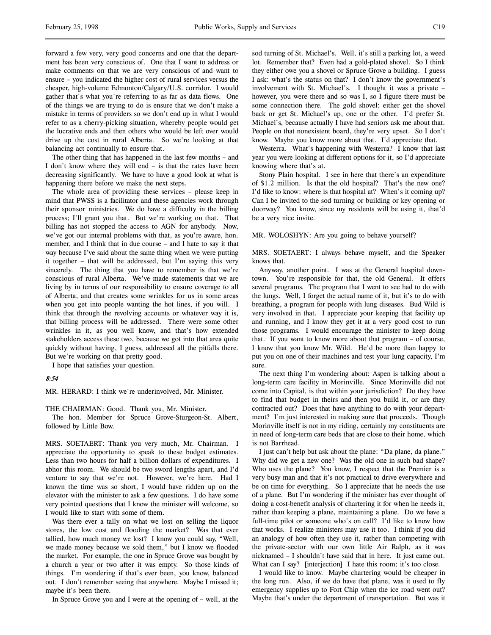forward a few very, very good concerns and one that the department has been very conscious of. One that I want to address or make comments on that we are very conscious of and want to ensure – you indicated the higher cost of rural services versus the cheaper, high-volume Edmonton/Calgary/U.S. corridor. I would gather that's what you're referring to as far as data flows. One of the things we are trying to do is ensure that we don't make a mistake in terms of providers so we don't end up in what I would refer to as a cherry-picking situation, whereby people would get the lucrative ends and then others who would be left over would drive up the cost in rural Alberta. So we're looking at that balancing act continually to ensure that.

The other thing that has happened in the last few months – and I don't know where they will end – is that the rates have been decreasing significantly. We have to have a good look at what is happening there before we make the next steps.

The whole area of providing these services – please keep in mind that PWSS is a facilitator and these agencies work through their sponsor ministries. We do have a difficulty in the billing process; I'll grant you that. But we're working on that. That billing has not stopped the access to AGN for anybody. Now, we've got our internal problems with that, as you're aware, hon. member, and I think that in due course – and I hate to say it that way because I've said about the same thing when we were putting it together – that will be addressed, but I'm saying this very sincerely. The thing that you have to remember is that we're conscious of rural Alberta. We've made statements that we are living by in terms of our responsibility to ensure coverage to all of Alberta, and that creates some wrinkles for us in some areas when you get into people wanting the hot lines, if you will. I think that through the revolving accounts or whatever way it is, that billing process will be addressed. There were some other wrinkles in it, as you well know, and that's how extended stakeholders access these two, because we got into that area quite quickly without having, I guess, addressed all the pitfalls there. But we're working on that pretty good.

I hope that satisfies your question.

## 8:54

MR. HERARD: I think we're underinvolved, Mr. Minister.

THE CHAIRMAN: Good. Thank you, Mr. Minister.

The hon. Member for Spruce Grove-Sturgeon-St. Albert, followed by Little Bow.

MRS. SOETAERT: Thank you very much, Mr. Chairman. I appreciate the opportunity to speak to these budget estimates. Less than two hours for half a billion dollars of expenditures. I abhor this room. We should be two sword lengths apart, and I'd venture to say that we're not. However, we're here. Had I known the time was so short, I would have ridden up on the elevator with the minister to ask a few questions. I do have some very pointed questions that I know the minister will welcome, so I would like to start with some of them.

Was there ever a tally on what we lost on selling the liquor stores, the low cost and flooding the market? Was that ever tallied, how much money we lost? I know you could say, "Well, we made money because we sold them," but I know we flooded the market. For example, the one in Spruce Grove was bought by a church a year or two after it was empty. So those kinds of things. I'm wondering if that's ever been, you know, balanced out. I don't remember seeing that anywhere. Maybe I missed it; maybe it's been there.

In Spruce Grove you and I were at the opening of – well, at the

sod turning of St. Michael's. Well, it's still a parking lot, a weed lot. Remember that? Even had a gold-plated shovel. So I think they either owe you a shovel or Spruce Grove a building. I guess I ask: what's the status on that? I don't know the government's involvement with St. Michael's. I thought it was a private – however, you were there and so was I, so I figure there must be some connection there. The gold shovel: either get the shovel back or get St. Michael's up, one or the other. I'd prefer St. Michael's, because actually I have had seniors ask me about that. People on that nonexistent board, they're very upset. So I don't know. Maybe you know more about that. I'd appreciate that.

Westerra. What's happening with Westerra? I know that last year you were looking at different options for it, so I'd appreciate knowing where that's at.

Stony Plain hospital. I see in here that there's an expenditure of \$1.2 million. Is that the old hospital? That's the new one? I'd like to know: where is that hospital at? When's it coming up? Can I be invited to the sod turning or building or key opening or doorway? You know, since my residents will be using it, that'd be a very nice invite.

MR. WOLOSHYN: Are you going to behave yourself?

MRS. SOETAERT: I always behave myself, and the Speaker knows that.

Anyway, another point. I was at the General hospital downtown. You're responsible for that, the old General. It offers several programs. The program that I went to see had to do with the lungs. Well, I forget the actual name of it, but it's to do with breathing, a program for people with lung diseases. Bud Wild is very involved in that. I appreciate your keeping that facility up and running, and I know they get it at a very good cost to run those programs. I would encourage the minister to keep doing that. If you want to know more about that program – of course, I know that you know Mr. Wild. He'd be more than happy to put you on one of their machines and test your lung capacity, I'm sure.

The next thing I'm wondering about: Aspen is talking about a long-term care facility in Morinville. Since Morinville did not come into Capital, is that within your jurisdiction? Do they have to find that budget in theirs and then you build it, or are they contracted out? Does that have anything to do with your department? I'm just interested in making sure that proceeds. Though Morinville itself is not in my riding, certainly my constituents are in need of long-term care beds that are close to their home, which is not Barrhead.

I just can't help but ask about the plane: "Da plane, da plane." Why did we get a new one? Was the old one in such bad shape? Who uses the plane? You know, I respect that the Premier is a very busy man and that it's not practical to drive everywhere and be on time for everything. So I appreciate that he needs the use of a plane. But I'm wondering if the minister has ever thought of doing a cost-benefit analysis of chartering it for when he needs it, rather than keeping a plane, maintaining a plane. Do we have a full-time pilot or someone who's on call? I'd like to know how that works. I realize ministers may use it too. I think if you did an analogy of how often they use it, rather than competing with the private-sector with our own little Air Ralph, as it was nicknamed – I shouldn't have said that in here. It just came out. What can I say? [interjection] I hate this room; it's too close.

I would like to know. Maybe chartering would be cheaper in the long run. Also, if we do have that plane, was it used to fly emergency supplies up to Fort Chip when the ice road went out? Maybe that's under the department of transportation. But was it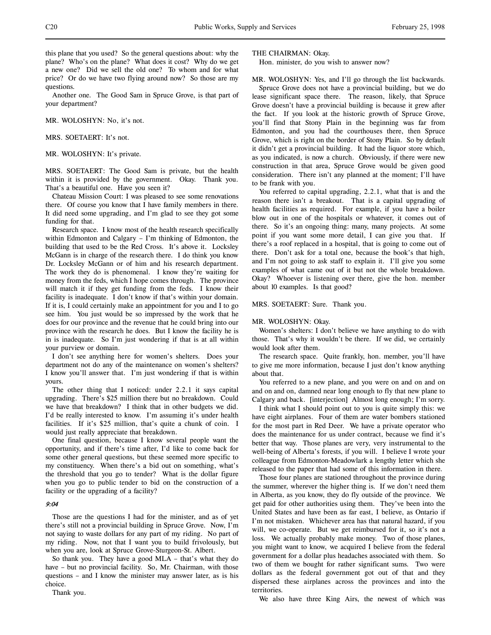this plane that you used? So the general questions about: why the plane? Who's on the plane? What does it cost? Why do we get a new one? Did we sell the old one? To whom and for what price? Or do we have two flying around now? So those are my questions.

Another one. The Good Sam in Spruce Grove, is that part of your department?

MR. WOLOSHYN: No, it's not.

MRS. SOETAERT: It's not.

MR. WOLOSHYN: It's private.

MRS. SOETAERT: The Good Sam is private, but the health within it is provided by the government. Okay. Thank you. That's a beautiful one. Have you seen it?

Chateau Mission Court: I was pleased to see some renovations there. Of course you know that I have family members in there. It did need some upgrading, and I'm glad to see they got some funding for that.

Research space. I know most of the health research specifically within Edmonton and Calgary – I'm thinking of Edmonton, the building that used to be the Red Cross. It's above it. Locksley McGann is in charge of the research there. I do think you know Dr. Locksley McGann or of him and his research department. The work they do is phenomenal. I know they're waiting for money from the feds, which I hope comes through. The province will match it if they get funding from the feds. I know their facility is inadequate. I don't know if that's within your domain. If it is, I could certainly make an appointment for you and I to go see him. You just would be so impressed by the work that he does for our province and the revenue that he could bring into our province with the research he does. But I know the facility he is in is inadequate. So I'm just wondering if that is at all within your purview or domain.

I don't see anything here for women's shelters. Does your department not do any of the maintenance on women's shelters? I know you'll answer that. I'm just wondering if that is within yours.

The other thing that I noticed: under 2.2.1 it says capital upgrading. There's \$25 million there but no breakdown. Could we have that breakdown? I think that in other budgets we did. I'd be really interested to know. I'm assuming it's under health facilities. If it's \$25 million, that's quite a chunk of coin. I would just really appreciate that breakdown.

One final question, because I know several people want the opportunity, and if there's time after, I'd like to come back for some other general questions, but these seemed more specific to my constituency. When there's a bid out on something, what's the threshold that you go to tender? What is the dollar figure when you go to public tender to bid on the construction of a facility or the upgrading of a facility?

### 9:04

Those are the questions I had for the minister, and as of yet there's still not a provincial building in Spruce Grove. Now, I'm not saying to waste dollars for any part of my riding. No part of my riding. Now, not that I want you to build frivolously, but when you are, look at Spruce Grove-Sturgeon-St. Albert.

So thank you. They have a good MLA – that's what they do have – but no provincial facility. So, Mr. Chairman, with those questions – and I know the minister may answer later, as is his choice.

Thank you.

THE CHAIRMAN: Okay.

Hon. minister, do you wish to answer now?

MR. WOLOSHYN: Yes, and I'll go through the list backwards.

Spruce Grove does not have a provincial building, but we do lease significant space there. The reason, likely, that Spruce Grove doesn't have a provincial building is because it grew after the fact. If you look at the historic growth of Spruce Grove, you'll find that Stony Plain in the beginning was far from Edmonton, and you had the courthouses there, then Spruce Grove, which is right on the border of Stony Plain. So by default it didn't get a provincial building. It had the liquor store which, as you indicated, is now a church. Obviously, if there were new construction in that area, Spruce Grove would be given good consideration. There isn't any planned at the moment; I'll have to be frank with you.

You referred to capital upgrading, 2.2.1, what that is and the reason there isn't a breakout. That is a capital upgrading of health facilities as required. For example, if you have a boiler blow out in one of the hospitals or whatever, it comes out of there. So it's an ongoing thing: many, many projects. At some point if you want some more detail, I can give you that. If there's a roof replaced in a hospital, that is going to come out of there. Don't ask for a total one, because the book's that high, and I'm not going to ask staff to explain it. I'll give you some examples of what came out of it but not the whole breakdown. Okay? Whoever is listening over there, give the hon. member about 10 examples. Is that good?

### MRS. SOETAERT: Sure. Thank you.

#### MR. WOLOSHYN: Okay.

Women's shelters: I don't believe we have anything to do with those. That's why it wouldn't be there. If we did, we certainly would look after them.

The research space. Quite frankly, hon. member, you'll have to give me more information, because I just don't know anything about that.

You referred to a new plane, and you were on and on and on and on and on, damned near long enough to fly that new plane to Calgary and back. [interjection] Almost long enough; I'm sorry.

I think what I should point out to you is quite simply this: we have eight airplanes. Four of them are water bombers stationed for the most part in Red Deer. We have a private operator who does the maintenance for us under contract, because we find it's better that way. Those planes are very, very instrumental to the well-being of Alberta's forests, if you will. I believe I wrote your colleague from Edmonton-Meadowlark a lengthy letter which she released to the paper that had some of this information in there.

Those four planes are stationed throughout the province during the summer, wherever the higher thing is. If we don't need them in Alberta, as you know, they do fly outside of the province. We get paid for other authorities using them. They've been into the United States and have been as far east, I believe, as Ontario if I'm not mistaken. Whichever area has that natural hazard, if you will, we co-operate. But we get reimbursed for it, so it's not a loss. We actually probably make money. Two of those planes, you might want to know, we acquired I believe from the federal government for a dollar plus headaches associated with them. So two of them we bought for rather significant sums. Two were dollars as the federal government got out of that and they dispersed these airplanes across the provinces and into the territories.

We also have three King Airs, the newest of which was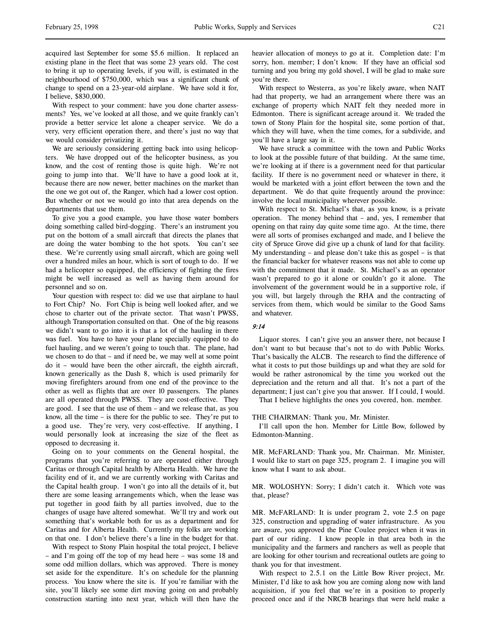acquired last September for some \$5.6 million. It replaced an existing plane in the fleet that was some 23 years old. The cost to bring it up to operating levels, if you will, is estimated in the neighbourhood of \$750,000, which was a significant chunk of change to spend on a 23-year-old airplane. We have sold it for, I believe, \$830,000.

With respect to your comment: have you done charter assessments? Yes, we've looked at all those, and we quite frankly can't provide a better service let alone a cheaper service. We do a very, very efficient operation there, and there's just no way that we would consider privatizing it.

We are seriously considering getting back into using helicopters. We have dropped out of the helicopter business, as you know, and the cost of renting those is quite high. We're not going to jump into that. We'll have to have a good look at it, because there are now newer, better machines on the market than the one we got out of, the Ranger, which had a lower cost option. But whether or not we would go into that area depends on the departments that use them.

To give you a good example, you have those water bombers doing something called bird-dogging. There's an instrument you put on the bottom of a small aircraft that directs the planes that are doing the water bombing to the hot spots. You can't see these. We're currently using small aircraft, which are going well over a hundred miles an hour, which is sort of tough to do. If we had a helicopter so equipped, the efficiency of fighting the fires might be well increased as well as having them around for personnel and so on.

Your question with respect to: did we use that airplane to haul to Fort Chip? No. Fort Chip is being well looked after, and we chose to charter out of the private sector. That wasn't PWSS, although Transportation consulted on that. One of the big reasons we didn't want to go into it is that a lot of the hauling in there was fuel. You have to have your plane specially equipped to do fuel hauling, and we weren't going to touch that. The plane, had we chosen to do that – and if need be, we may well at some point do it – would have been the other aircraft, the eighth aircraft, known generically as the Dash 8, which is used primarily for moving firefighters around from one end of the province to the other as well as flights that are over 10 passengers. The planes are all operated through PWSS. They are cost-effective. They are good. I see that the use of them – and we release that, as you know, all the time – is there for the public to see. They're put to a good use. They're very, very cost-effective. If anything, I would personally look at increasing the size of the fleet as opposed to decreasing it.

Going on to your comments on the General hospital, the programs that you're referring to are operated either through Caritas or through Capital health by Alberta Health. We have the facility end of it, and we are currently working with Caritas and the Capital health group. I won't go into all the details of it, but there are some leasing arrangements which, when the lease was put together in good faith by all parties involved, due to the changes of usage have altered somewhat. We'll try and work out something that's workable both for us as a department and for Caritas and for Alberta Health. Currently my folks are working on that one. I don't believe there's a line in the budget for that.

With respect to Stony Plain hospital the total project, I believe – and I'm going off the top of my head here – was some 18 and some odd million dollars, which was approved. There is money set aside for the expenditure. It's on schedule for the planning process. You know where the site is. If you're familiar with the site, you'll likely see some dirt moving going on and probably construction starting into next year, which will then have the

heavier allocation of moneys to go at it. Completion date: I'm sorry, hon. member; I don't know. If they have an official sod turning and you bring my gold shovel, I will be glad to make sure you're there.

With respect to Westerra, as you're likely aware, when NAIT had that property, we had an arrangement where there was an exchange of property which NAIT felt they needed more in Edmonton. There is significant acreage around it. We traded the town of Stony Plain for the hospital site, some portion of that, which they will have, when the time comes, for a subdivide, and you'll have a large say in it.

We have struck a committee with the town and Public Works to look at the possible future of that building. At the same time, we're looking at if there is a government need for that particular facility. If there is no government need or whatever in there, it would be marketed with a joint effort between the town and the department. We do that quite frequently around the province: involve the local municipality wherever possible.

With respect to St. Michael's that, as you know, is a private operation. The money behind that – and, yes, I remember that opening on that rainy day quite some time ago. At the time, there were all sorts of promises exchanged and made, and I believe the city of Spruce Grove did give up a chunk of land for that facility. My understanding – and please don't take this as gospel – is that the financial backer for whatever reasons was not able to come up with the commitment that it made. St. Michael's as an operator wasn't prepared to go it alone or couldn't go it alone. The involvement of the government would be in a supportive role, if you will, but largely through the RHA and the contracting of services from them, which would be similar to the Good Sams and whatever.

# 9:14

Liquor stores. I can't give you an answer there, not because I don't want to but because that's not to do with Public Works. That's basically the ALCB. The research to find the difference of what it costs to put those buildings up and what they are sold for would be rather astronomical by the time you worked out the depreciation and the return and all that. It's not a part of the department; I just can't give you that answer. If I could, I would.

That I believe highlights the ones you covered, hon. member.

#### THE CHAIRMAN: Thank you, Mr. Minister.

I'll call upon the hon. Member for Little Bow, followed by Edmonton-Manning.

MR. McFARLAND: Thank you, Mr. Chairman. Mr. Minister, I would like to start on page 325, program 2. I imagine you will know what I want to ask about.

MR. WOLOSHYN: Sorry; I didn't catch it. Which vote was that, please?

MR. McFARLAND: It is under program 2, vote 2.5 on page 325, construction and upgrading of water infrastructure. As you are aware, you approved the Pine Coulee project when it was in part of our riding. I know people in that area both in the municipality and the farmers and ranchers as well as people that are looking for other tourism and recreational outlets are going to thank you for that investment.

With respect to 2.5.1 on the Little Bow River project, Mr. Minister, I'd like to ask how you are coming along now with land acquisition, if you feel that we're in a position to properly proceed once and if the NRCB hearings that were held make a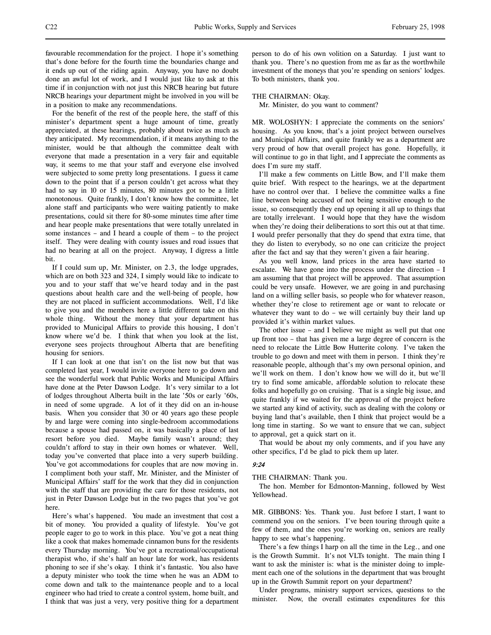favourable recommendation for the project. I hope it's something that's done before for the fourth time the boundaries change and it ends up out of the riding again. Anyway, you have no doubt done an awful lot of work, and I would just like to ask at this time if in conjunction with not just this NRCB hearing but future NRCB hearings your department might be involved in you will be in a position to make any recommendations.

For the benefit of the rest of the people here, the staff of this minister's department spent a huge amount of time, greatly appreciated, at these hearings, probably about twice as much as they anticipated. My recommendation, if it means anything to the minister, would be that although the committee dealt with everyone that made a presentation in a very fair and equitable way, it seems to me that your staff and everyone else involved were subjected to some pretty long presentations. I guess it came down to the point that if a person couldn't get across what they had to say in 10 or 15 minutes, 80 minutes got to be a little monotonous. Quite frankly, I don't know how the committee, let alone staff and participants who were waiting patiently to make presentations, could sit there for 80-some minutes time after time and hear people make presentations that were totally unrelated in some instances – and I heard a couple of them – to the project itself. They were dealing with county issues and road issues that had no bearing at all on the project. Anyway, I digress a little bit.

If I could sum up, Mr. Minister, on 2.3, the lodge upgrades, which are on both 323 and 324, I simply would like to indicate to you and to your staff that we've heard today and in the past questions about health care and the well-being of people, how they are not placed in sufficient accommodations. Well, I'd like to give you and the members here a little different take on this whole thing. Without the money that your department has provided to Municipal Affairs to provide this housing, I don't know where we'd be. I think that when you look at the list, everyone sees projects throughout Alberta that are benefiting housing for seniors.

If I can look at one that isn't on the list now but that was completed last year, I would invite everyone here to go down and see the wonderful work that Public Works and Municipal Affairs have done at the Peter Dawson Lodge. It's very similar to a lot of lodges throughout Alberta built in the late '50s or early '60s, in need of some upgrade. A lot of it they did on an in-house basis. When you consider that 30 or 40 years ago these people by and large were coming into single-bedroom accommodations because a spouse had passed on, it was basically a place of last resort before you died. Maybe family wasn't around; they couldn't afford to stay in their own homes or whatever. Well, today you've converted that place into a very superb building. You've got accommodations for couples that are now moving in. I compliment both your staff, Mr. Minister, and the Minister of Municipal Affairs' staff for the work that they did in conjunction with the staff that are providing the care for those residents, not just in Peter Dawson Lodge but in the two pages that you've got here.

Here's what's happened. You made an investment that cost a bit of money. You provided a quality of lifestyle. You've got people eager to go to work in this place. You've got a neat thing like a cook that makes homemade cinnamon buns for the residents every Thursday morning. You've got a recreational/occupational therapist who, if she's half an hour late for work, has residents phoning to see if she's okay. I think it's fantastic. You also have a deputy minister who took the time when he was an ADM to come down and talk to the maintenance people and to a local engineer who had tried to create a control system, home built, and I think that was just a very, very positive thing for a department

person to do of his own volition on a Saturday. I just want to thank you. There's no question from me as far as the worthwhile investment of the moneys that you're spending on seniors' lodges. To both ministers, thank you.

#### THE CHAIRMAN: Okay.

Mr. Minister, do you want to comment?

MR. WOLOSHYN: I appreciate the comments on the seniors' housing. As you know, that's a joint project between ourselves and Municipal Affairs, and quite frankly we as a department are very proud of how that overall project has gone. Hopefully, it will continue to go in that light, and I appreciate the comments as does I'm sure my staff.

I'll make a few comments on Little Bow, and I'll make them quite brief. With respect to the hearings, we at the department have no control over that. I believe the committee walks a fine line between being accused of not being sensitive enough to the issue, so consequently they end up opening it all up to things that are totally irrelevant. I would hope that they have the wisdom when they're doing their deliberations to sort this out at that time. I would prefer personally that they do spend that extra time, that they do listen to everybody, so no one can criticize the project after the fact and say that they weren't given a fair hearing.

As you well know, land prices in the area have started to escalate. We have gone into the process under the direction – I am assuming that that project will be approved. That assumption could be very unsafe. However, we are going in and purchasing land on a willing seller basis, so people who for whatever reason, whether they're close to retirement age or want to relocate or whatever they want to do – we will certainly buy their land up provided it's within market values.

The other issue – and I believe we might as well put that one up front too – that has given me a large degree of concern is the need to relocate the Little Bow Hutterite colony. I've taken the trouble to go down and meet with them in person. I think they're reasonable people, although that's my own personal opinion, and we'll work on them. I don't know how we will do it, but we'll try to find some amicable, affordable solution to relocate these folks and hopefully go on cruising. That is a single big issue, and quite frankly if we waited for the approval of the project before we started any kind of activity, such as dealing with the colony or buying land that's available, then I think that project would be a long time in starting. So we want to ensure that we can, subject to approval, get a quick start on it.

That would be about my only comments, and if you have any other specifics, I'd be glad to pick them up later.

### 9:24

THE CHAIRMAN: Thank you.

The hon. Member for Edmonton-Manning, followed by West Yellowhead.

MR. GIBBONS: Yes. Thank you. Just before I start, I want to commend you on the seniors. I've been touring through quite a few of them, and the ones you're working on, seniors are really happy to see what's happening.

There's a few things I harp on all the time in the Leg., and one is the Growth Summit. It's not VLTs tonight. The main thing I want to ask the minister is: what is the minister doing to implement each one of the solutions in the department that was brought up in the Growth Summit report on your department?

Under programs, ministry support services, questions to the minister. Now, the overall estimates expenditures for this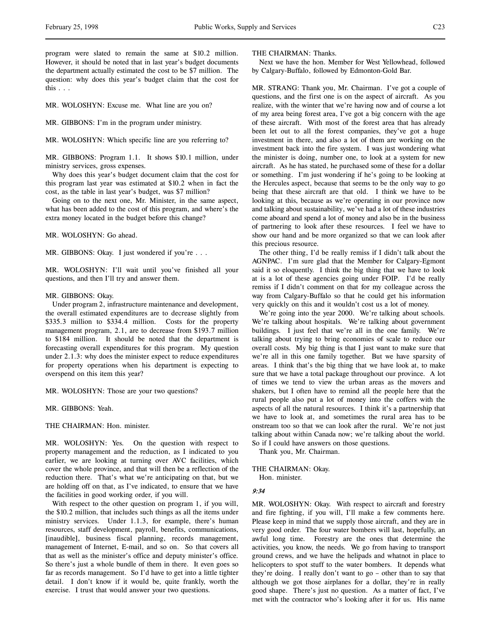program were slated to remain the same at \$10.2 million. However, it should be noted that in last year's budget documents the department actually estimated the cost to be \$7 million. The question: why does this year's budget claim that the cost for this . . .

MR. WOLOSHYN: Excuse me. What line are you on?

MR. GIBBONS: I'm in the program under ministry.

MR. WOLOSHYN: Which specific line are you referring to?

MR. GIBBONS: Program 1.1. It shows \$10.1 million, under ministry services, gross expenses.

Why does this year's budget document claim that the cost for this program last year was estimated at \$10.2 when in fact the cost, as the table in last year's budget, was \$7 million?

Going on to the next one, Mr. Minister, in the same aspect, what has been added to the cost of this program, and where's the extra money located in the budget before this change?

MR. WOLOSHYN: Go ahead.

MR. GIBBONS: Okay. I just wondered if you're . . .

MR. WOLOSHYN: I'll wait until you've finished all your questions, and then I'll try and answer them.

#### MR. GIBBONS: Okay.

Under program 2, infrastructure maintenance and development, the overall estimated expenditures are to decrease slightly from \$335.3 million to \$334.4 million. Costs for the property management program, 2.1, are to decrease from \$193.7 million to \$184 million. It should be noted that the department is forecasting overall expenditures for this program. My question under 2.1.3: why does the minister expect to reduce expenditures for property operations when his department is expecting to overspend on this item this year?

MR. WOLOSHYN: Those are your two questions?

MR. GIBBONS: Yeah.

THE CHAIRMAN: Hon. minister.

MR. WOLOSHYN: Yes. On the question with respect to property management and the reduction, as I indicated to you earlier, we are looking at turning over AVC facilities, which cover the whole province, and that will then be a reflection of the reduction there. That's what we're anticipating on that, but we are holding off on that, as I've indicated, to ensure that we have the facilities in good working order, if you will.

With respect to the other question on program 1, if you will, the \$10.2 million, that includes such things as all the items under ministry services. Under 1.1.3, for example, there's human resources, staff development, payroll, benefits, communications, [inaudible], business fiscal planning, records management, management of Internet, E-mail, and so on. So that covers all that as well as the minister's office and deputy minister's office. So there's just a whole bundle of them in there. It even goes so far as records management. So I'd have to get into a little tighter detail. I don't know if it would be, quite frankly, worth the exercise. I trust that would answer your two questions.

THE CHAIRMAN: Thanks.

Next we have the hon. Member for West Yellowhead, followed by Calgary-Buffalo, followed by Edmonton-Gold Bar.

MR. STRANG: Thank you, Mr. Chairman. I've got a couple of questions, and the first one is on the aspect of aircraft. As you realize, with the winter that we're having now and of course a lot of my area being forest area, I've got a big concern with the age of these aircraft. With most of the forest area that has already been let out to all the forest companies, they've got a huge investment in there, and also a lot of them are working on the investment back into the fire system. I was just wondering what the minister is doing, number one, to look at a system for new aircraft. As he has stated, he purchased some of these for a dollar or something. I'm just wondering if he's going to be looking at the Hercules aspect, because that seems to be the only way to go being that these aircraft are that old. I think we have to be looking at this, because as we're operating in our province now and talking about sustainability, we've had a lot of these industries come aboard and spend a lot of money and also be in the business of partnering to look after these resources. I feel we have to show our hand and be more organized so that we can look after this precious resource.

The other thing, I'd be really remiss if I didn't talk about the AGNPAC. I'm sure glad that the Member for Calgary-Egmont said it so eloquently. I think the big thing that we have to look at is a lot of these agencies going under FOIP. I'd be really remiss if I didn't comment on that for my colleague across the way from Calgary-Buffalo so that he could get his information very quickly on this and it wouldn't cost us a lot of money.

We're going into the year 2000. We're talking about schools. We're talking about hospitals. We're talking about government buildings. I just feel that we're all in the one family. We're talking about trying to bring economies of scale to reduce our overall costs. My big thing is that I just want to make sure that we're all in this one family together. But we have sparsity of areas. I think that's the big thing that we have look at, to make sure that we have a total package throughout our province. A lot of times we tend to view the urban areas as the movers and shakers, but I often have to remind all the people here that the rural people also put a lot of money into the coffers with the aspects of all the natural resources. I think it's a partnership that we have to look at, and sometimes the rural area has to be onstream too so that we can look after the rural. We're not just talking about within Canada now; we're talking about the world. So if I could have answers on those questions.

Thank you, Mr. Chairman.

#### THE CHAIRMAN: Okay.

Hon. minister.

#### 9:34

MR. WOLOSHYN: Okay. With respect to aircraft and forestry and fire fighting, if you will, I'll make a few comments here. Please keep in mind that we supply those aircraft, and they are in very good order. The four water bombers will last, hopefully, an awful long time. Forestry are the ones that determine the activities, you know, the needs. We go from having to transport ground crews, and we have the helipads and whatnot in place to helicopters to spot stuff to the water bombers. It depends what they're doing. I really don't want to go – other than to say that although we got those airplanes for a dollar, they're in really good shape. There's just no question. As a matter of fact, I've met with the contractor who's looking after it for us. His name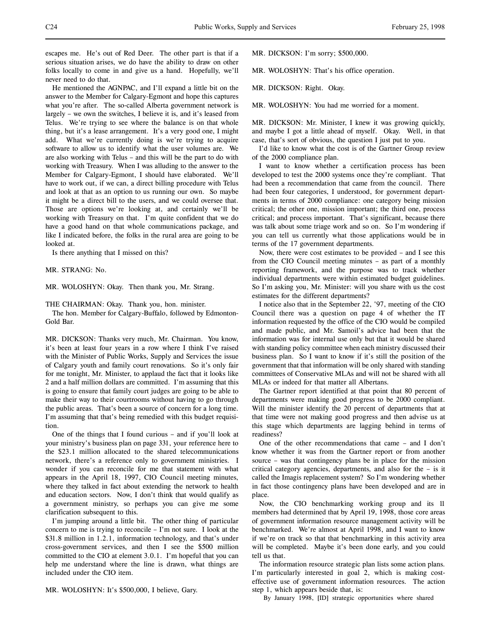escapes me. He's out of Red Deer. The other part is that if a serious situation arises, we do have the ability to draw on other folks locally to come in and give us a hand. Hopefully, we'll never need to do that.

He mentioned the AGNPAC, and I'll expand a little bit on the answer to the Member for Calgary-Egmont and hope this captures what you're after. The so-called Alberta government network is largely – we own the switches, I believe it is, and it's leased from Telus. We're trying to see where the balance is on that whole thing, but it's a lease arrangement. It's a very good one, I might add. What we're currently doing is we're trying to acquire software to allow us to identify what the user volumes are. We are also working with Telus – and this will be the part to do with working with Treasury. When I was alluding to the answer to the Member for Calgary-Egmont, I should have elaborated. We'll have to work out, if we can, a direct billing procedure with Telus and look at that as an option to us running our own. So maybe it might be a direct bill to the users, and we could oversee that. Those are options we're looking at, and certainly we'll be working with Treasury on that. I'm quite confident that we do have a good hand on that whole communications package, and like I indicated before, the folks in the rural area are going to be looked at.

Is there anything that I missed on this?

MR. STRANG: No.

MR. WOLOSHYN: Okay. Then thank you, Mr. Strang.

THE CHAIRMAN: Okay. Thank you, hon. minister.

The hon. Member for Calgary-Buffalo, followed by Edmonton-Gold Bar.

MR. DICKSON: Thanks very much, Mr. Chairman. You know, it's been at least four years in a row where I think I've raised with the Minister of Public Works, Supply and Services the issue of Calgary youth and family court renovations. So it's only fair for me tonight, Mr. Minister, to applaud the fact that it looks like 2 and a half million dollars are committed. I'm assuming that this is going to ensure that family court judges are going to be able to make their way to their courtrooms without having to go through the public areas. That's been a source of concern for a long time. I'm assuming that that's being remedied with this budget requisition.

One of the things that I found curious – and if you'll look at your ministry's business plan on page 331, your reference here to the \$23.1 million allocated to the shared telecommunications network, there's a reference only to government ministries. I wonder if you can reconcile for me that statement with what appears in the April 18, 1997, CIO Council meeting minutes, where they talked in fact about extending the network to health and education sectors. Now, I don't think that would qualify as a government ministry, so perhaps you can give me some clarification subsequent to this.

I'm jumping around a little bit. The other thing of particular concern to me is trying to reconcile – I'm not sure. I look at the \$31.8 million in 1.2.1, information technology, and that's under cross-government services, and then I see the \$500 million committed to the CIO at element 3.0.1. I'm hopeful that you can help me understand where the line is drawn, what things are included under the CIO item.

MR. WOLOSHYN: It's \$500,000, I believe, Gary.

MR. DICKSON: I'm sorry; \$500,000.

MR. WOLOSHYN: That's his office operation.

MR. DICKSON: Right. Okay.

MR. WOLOSHYN: You had me worried for a moment.

MR. DICKSON: Mr. Minister, I knew it was growing quickly, and maybe I got a little ahead of myself. Okay. Well, in that case, that's sort of obvious, the question I just put to you.

I'd like to know what the cost is of the Gartner Group review of the 2000 compliance plan.

I want to know whether a certification process has been developed to test the 2000 systems once they're compliant. That had been a recommendation that came from the council. There had been four categories, I understood, for government departments in terms of 2000 compliance: one category being mission critical; the other one, mission important; the third one, process critical; and process important. That's significant, because there was talk about some triage work and so on. So I'm wondering if you can tell us currently what those applications would be in terms of the 17 government departments.

Now, there were cost estimates to be provided – and I see this from the CIO Council meeting minutes – as part of a monthly reporting framework, and the purpose was to track whether individual departments were within estimated budget guidelines. So I'm asking you, Mr. Minister: will you share with us the cost estimates for the different departments?

I notice also that in the September 22, '97, meeting of the CIO Council there was a question on page 4 of whether the IT information requested by the office of the CIO would be compiled and made public, and Mr. Samoil's advice had been that the information was for internal use only but that it would be shared with standing policy committee when each ministry discussed their business plan. So I want to know if it's still the position of the government that that information will be only shared with standing committees of Conservative MLAs and will not be shared with all MLAs or indeed for that matter all Albertans.

The Gartner report identified at that point that 80 percent of departments were making good progress to be 2000 compliant. Will the minister identify the 20 percent of departments that at that time were not making good progress and then advise us at this stage which departments are lagging behind in terms of readiness?

One of the other recommendations that came – and I don't know whether it was from the Gartner report or from another source – was that contingency plans be in place for the mission critical category agencies, departments, and also for the – is it called the Imagis replacement system? So I'm wondering whether in fact those contingency plans have been developed and are in place.

Now, the CIO benchmarking working group and its 11 members had determined that by April 19, 1998, those core areas of government information resource management activity will be benchmarked. We're almost at April 1998, and I want to know if we're on track so that that benchmarking in this activity area will be completed. Maybe it's been done early, and you could tell us that.

The information resource strategic plan lists some action plans. I'm particularly interested in goal 2, which is making costeffective use of government information resources. The action step 1, which appears beside that, is:

By January 1998, [ID] strategic opportunities where shared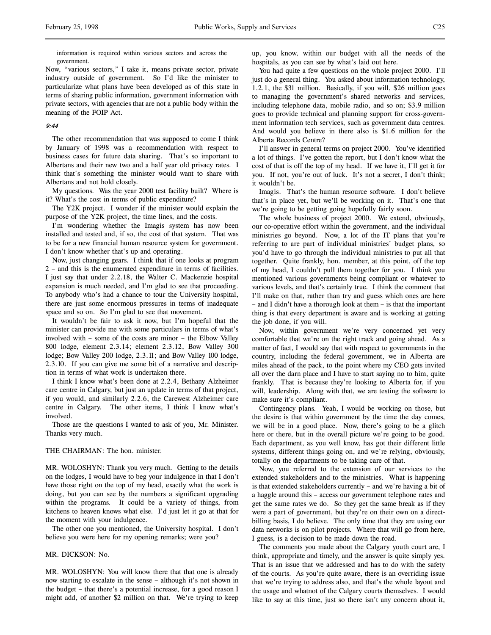information is required within various sectors and across the government.

Now, "various sectors," I take it, means private sector, private industry outside of government. So I'd like the minister to particularize what plans have been developed as of this state in terms of sharing public information, government information with private sectors, with agencies that are not a public body within the meaning of the FOIP Act.

# 9:44

The other recommendation that was supposed to come I think by January of 1998 was a recommendation with respect to business cases for future data sharing. That's so important to Albertans and their new two and a half year old privacy rates. I think that's something the minister would want to share with Albertans and not hold closely.

My questions. Was the year 2000 test facility built? Where is it? What's the cost in terms of public expenditure?

The Y2K project. I wonder if the minister would explain the purpose of the Y2K project, the time lines, and the costs.

I'm wondering whether the Imagis system has now been installed and tested and, if so, the cost of that system. That was to be for a new financial human resource system for government. I don't know whether that's up and operating.

Now, just changing gears. I think that if one looks at program 2 – and this is the enumerated expenditure in terms of facilities. I just say that under 2.2.18, the Walter C. Mackenzie hospital expansion is much needed, and I'm glad to see that proceeding. To anybody who's had a chance to tour the University hospital, there are just some enormous pressures in terms of inadequate space and so on. So I'm glad to see that movement.

It wouldn't be fair to ask it now, but I'm hopeful that the minister can provide me with some particulars in terms of what's involved with – some of the costs are minor – the Elbow Valley 800 lodge, element 2.3.14; element 2.3.12, Bow Valley 300 lodge; Bow Valley 200 lodge, 2.3.11; and Bow Valley 100 lodge, 2.3.10. If you can give me some bit of a narrative and description in terms of what work is undertaken there.

I think I know what's been done at 2.2.4, Bethany Alzheimer care centre in Calgary, but just an update in terms of that project, if you would, and similarly 2.2.6, the Carewest Alzheimer care centre in Calgary. The other items, I think I know what's involved.

Those are the questions I wanted to ask of you, Mr. Minister. Thanks very much.

### THE CHAIRMAN: The hon. minister.

MR. WOLOSHYN: Thank you very much. Getting to the details on the lodges, I would have to beg your indulgence in that I don't have those right on the top of my head, exactly what the work is doing, but you can see by the numbers a significant upgrading within the programs. It could be a variety of things, from kitchens to heaven knows what else. I'd just let it go at that for the moment with your indulgence.

The other one you mentioned, the University hospital. I don't believe you were here for my opening remarks; were you?

## MR. DICKSON: No.

MR. WOLOSHYN: You will know there that that one is already now starting to escalate in the sense – although it's not shown in the budget – that there's a potential increase, for a good reason I might add, of another \$2 million on that. We're trying to keep

up, you know, within our budget with all the needs of the hospitals, as you can see by what's laid out here.

You had quite a few questions on the whole project 2000. I'll just do a general thing. You asked about information technology, 1.2.1, the \$31 million. Basically, if you will, \$26 million goes to managing the government's shared networks and services, including telephone data, mobile radio, and so on; \$3.9 million goes to provide technical and planning support for cross-government information tech services, such as government data centres. And would you believe in there also is \$1.6 million for the Alberta Records Centre?

I'll answer in general terms on project 2000. You've identified a lot of things. I've gotten the report, but I don't know what the cost of that is off the top of my head. If we have it, I'll get it for you. If not, you're out of luck. It's not a secret, I don't think; it wouldn't be.

Imagis. That's the human resource software. I don't believe that's in place yet, but we'll be working on it. That's one that we're going to be getting going hopefully fairly soon.

The whole business of project 2000. We extend, obviously, our co-operative effort within the government, and the individual ministries go beyond. Now, a lot of the IT plans that you're referring to are part of individual ministries' budget plans, so you'd have to go through the individual ministries to put all that together. Quite frankly, hon. member, at this point, off the top of my head, I couldn't pull them together for you. I think you mentioned various governments being compliant or whatever to various levels, and that's certainly true. I think the comment that I'll make on that, rather than try and guess which ones are here – and I didn't have a thorough look at them – is that the important thing is that every department is aware and is working at getting the job done, if you will.

Now, within government we're very concerned yet very comfortable that we're on the right track and going ahead. As a matter of fact, I would say that with respect to governments in the country, including the federal government, we in Alberta are miles ahead of the pack, to the point where my CEO gets invited all over the darn place and I have to start saying no to him, quite frankly. That is because they're looking to Alberta for, if you will, leadership. Along with that, we are testing the software to make sure it's compliant.

Contingency plans. Yeah, I would be working on those, but the desire is that within government by the time the day comes, we will be in a good place. Now, there's going to be a glitch here or there, but in the overall picture we're going to be good. Each department, as you well know, has got their different little systems, different things going on, and we're relying, obviously, totally on the departments to be taking care of that.

Now, you referred to the extension of our services to the extended stakeholders and to the ministries. What is happening is that extended stakeholders currently – and we're having a bit of a haggle around this – access our government telephone rates and get the same rates we do. So they get the same break as if they were a part of government, but they're on their own on a directbilling basis, I do believe. The only time that they are using our data networks is on pilot projects. Where that will go from here, I guess, is a decision to be made down the road.

The comments you made about the Calgary youth court are, I think, appropriate and timely, and the answer is quite simply yes. That is an issue that we addressed and has to do with the safety of the courts. As you're quite aware, there is an overriding issue that we're trying to address also, and that's the whole layout and the usage and whatnot of the Calgary courts themselves. I would like to say at this time, just so there isn't any concern about it,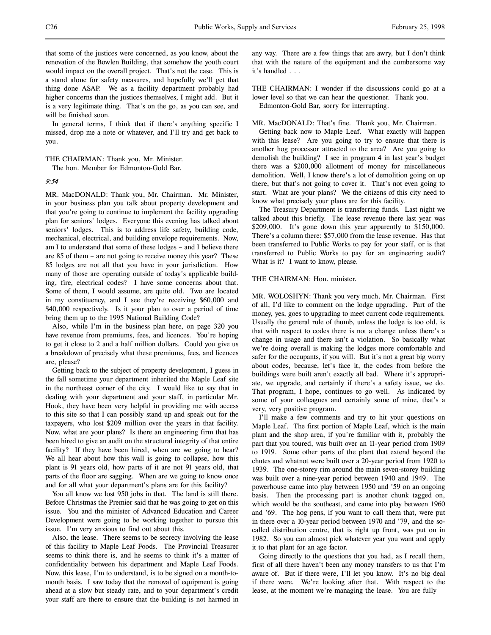that some of the justices were concerned, as you know, about the renovation of the Bowlen Building, that somehow the youth court would impact on the overall project. That's not the case. This is a stand alone for safety measures, and hopefully we'll get that thing done ASAP. We as a facility department probably had higher concerns than the justices themselves, I might add. But it is a very legitimate thing. That's on the go, as you can see, and will be finished soon.

In general terms, I think that if there's anything specific I missed, drop me a note or whatever, and I'll try and get back to you.

THE CHAIRMAN: Thank you, Mr. Minister.

The hon. Member for Edmonton-Gold Bar.

9:54

MR. MacDONALD: Thank you, Mr. Chairman. Mr. Minister, in your business plan you talk about property development and that you're going to continue to implement the facility upgrading plan for seniors' lodges. Everyone this evening has talked about seniors' lodges. This is to address life safety, building code, mechanical, electrical, and building envelope requirements. Now, am I to understand that some of these lodges – and I believe there are 85 of them – are not going to receive money this year? These 85 lodges are not all that you have in your jurisdiction. How many of those are operating outside of today's applicable building, fire, electrical codes? I have some concerns about that. Some of them, I would assume, are quite old. Two are located in my constituency, and I see they're receiving \$60,000 and \$40,000 respectively. Is it your plan to over a period of time bring them up to the 1995 National Building Code?

Also, while I'm in the business plan here, on page 320 you have revenue from premiums, fees, and licences. You're hoping to get it close to 2 and a half million dollars. Could you give us a breakdown of precisely what these premiums, fees, and licences are, please?

Getting back to the subject of property development, I guess in the fall sometime your department inherited the Maple Leaf site in the northeast corner of the city. I would like to say that in dealing with your department and your staff, in particular Mr. Hook, they have been very helpful in providing me with access to this site so that I can possibly stand up and speak out for the taxpayers, who lost \$209 million over the years in that facility. Now, what are your plans? Is there an engineering firm that has been hired to give an audit on the structural integrity of that entire facility? If they have been hired, when are we going to hear? We all hear about how this wall is going to collapse, how this plant is 91 years old, how parts of it are not 91 years old, that parts of the floor are sagging. When are we going to know once and for all what your department's plans are for this facility?

You all know we lost 950 jobs in that. The land is still there. Before Christmas the Premier said that he was going to get on this issue. You and the minister of Advanced Education and Career Development were going to be working together to pursue this issue. I'm very anxious to find out about this.

Also, the lease. There seems to be secrecy involving the lease of this facility to Maple Leaf Foods. The Provincial Treasurer seems to think there is, and he seems to think it's a matter of confidentiality between his department and Maple Leaf Foods. Now, this lease, I'm to understand, is to be signed on a month-tomonth basis. I saw today that the removal of equipment is going ahead at a slow but steady rate, and to your department's credit your staff are there to ensure that the building is not harmed in

any way. There are a few things that are awry, but I don't think that with the nature of the equipment and the cumbersome way it's handled . . .

THE CHAIRMAN: I wonder if the discussions could go at a lower level so that we can hear the questioner. Thank you. Edmonton-Gold Bar, sorry for interrupting.

# MR. MacDONALD: That's fine. Thank you, Mr. Chairman.

Getting back now to Maple Leaf. What exactly will happen with this lease? Are you going to try to ensure that there is another hog processor attracted to the area? Are you going to demolish the building? I see in program 4 in last year's budget there was a \$200,000 allotment of money for miscellaneous demolition. Well, I know there's a lot of demolition going on up there, but that's not going to cover it. That's not even going to start. What are your plans? We the citizens of this city need to know what precisely your plans are for this facility.

The Treasury Department is transferring funds. Last night we talked about this briefly. The lease revenue there last year was \$209,000. It's gone down this year apparently to \$150,000. There's a column there: \$57,000 from the lease revenue. Has that been transferred to Public Works to pay for your staff, or is that transferred to Public Works to pay for an engineering audit? What is it? I want to know, please.

### THE CHAIRMAN: Hon. minister.

MR. WOLOSHYN: Thank you very much, Mr. Chairman. First of all, I'd like to comment on the lodge upgrading. Part of the money, yes, goes to upgrading to meet current code requirements. Usually the general rule of thumb, unless the lodge is too old, is that with respect to codes there is not a change unless there's a change in usage and there isn't a violation. So basically what we're doing overall is making the lodges more comfortable and safer for the occupants, if you will. But it's not a great big worry about codes, because, let's face it, the codes from before the buildings were built aren't exactly all bad. Where it's appropriate, we upgrade, and certainly if there's a safety issue, we do. That program, I hope, continues to go well. As indicated by some of your colleagues and certainly some of mine, that's a very, very positive program.

I'll make a few comments and try to hit your questions on Maple Leaf. The first portion of Maple Leaf, which is the main plant and the shop area, if you're familiar with it, probably the part that you toured, was built over an 11-year period from 1909 to 1919. Some other parts of the plant that extend beyond the chutes and whatnot were built over a 20-year period from 1920 to 1939. The one-storey rim around the main seven-storey building was built over a nine-year period between 1940 and 1949. The powerhouse came into play between 1950 and '59 on an ongoing basis. Then the processing part is another chunk tagged on, which would be the southeast, and came into play between 1960 and '69. The hog pens, if you want to call them that, were put in there over a 10-year period between 1970 and '79, and the socalled distribution centre, that is right up front, was put on in 1982. So you can almost pick whatever year you want and apply it to that plant for an age factor.

Going directly to the questions that you had, as I recall them, first of all there haven't been any money transfers to us that I'm aware of. But if there were, I'll let you know. It's no big deal if there were. We're looking after that. With respect to the lease, at the moment we're managing the lease. You are fully